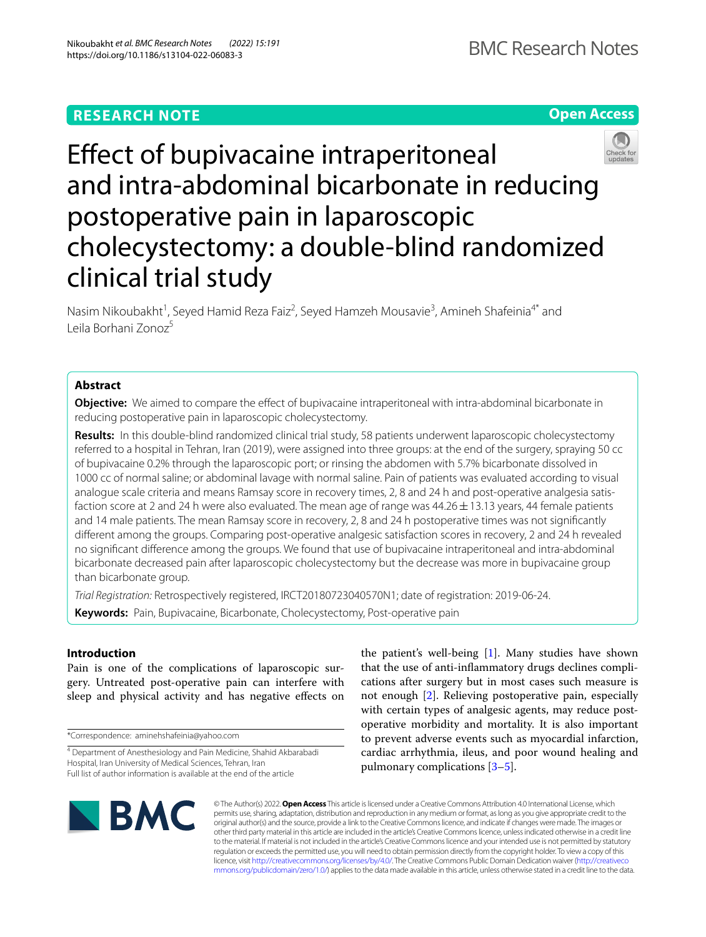# **RESEARCH NOTE**





# Efect of bupivacaine intraperitoneal and intra-abdominal bicarbonate in reducing postoperative pain in laparoscopic cholecystectomy: a double-blind randomized clinical trial study

Nasim Nikoubakht<sup>1</sup>, Seyed Hamid Reza Faiz<sup>2</sup>, Seyed Hamzeh Mousavie<sup>3</sup>, Amineh Shafeinia<sup>4\*</sup> and Leila Borhani Zonoz5

# **Abstract**

**Objective:** We aimed to compare the effect of bupivacaine intraperitoneal with intra-abdominal bicarbonate in reducing postoperative pain in laparoscopic cholecystectomy.

**Results:** In this double-blind randomized clinical trial study, 58 patients underwent laparoscopic cholecystectomy referred to a hospital in Tehran, Iran (2019), were assigned into three groups: at the end of the surgery, spraying 50 cc of bupivacaine 0.2% through the laparoscopic port; or rinsing the abdomen with 5.7% bicarbonate dissolved in 1000 cc of normal saline; or abdominal lavage with normal saline. Pain of patients was evaluated according to visual analogue scale criteria and means Ramsay score in recovery times, 2, 8 and 24 h and post-operative analgesia satisfaction score at 2 and 24 h were also evaluated. The mean age of range was  $44.26 \pm 13.13$  years, 44 female patients and 14 male patients. The mean Ramsay score in recovery, 2, 8 and 24 h postoperative times was not signifcantly diferent among the groups. Comparing post-operative analgesic satisfaction scores in recovery, 2 and 24 h revealed no signifcant diference among the groups. We found that use of bupivacaine intraperitoneal and intra-abdominal bicarbonate decreased pain after laparoscopic cholecystectomy but the decrease was more in bupivacaine group than bicarbonate group.

*Trial Registration:* Retrospectively registered, IRCT20180723040570N1; date of registration: 2019-06-24.

**Keywords:** Pain, Bupivacaine, Bicarbonate, Cholecystectomy, Post-operative pain

# **Introduction**

Pain is one of the complications of laparoscopic surgery. Untreated post-operative pain can interfere with sleep and physical activity and has negative efects on

\*Correspondence: aminehshafeinia@yahoo.com

the patient's well-being [[1\]](#page-4-0). Many studies have shown that the use of anti-infammatory drugs declines complications after surgery but in most cases such measure is not enough [[2\]](#page-4-1). Relieving postoperative pain, especially with certain types of analgesic agents, may reduce postoperative morbidity and mortality. It is also important to prevent adverse events such as myocardial infarction, cardiac arrhythmia, ileus, and poor wound healing and pulmonary complications [[3–](#page-4-2)[5\]](#page-4-3).



© The Author(s) 2022. **Open Access** This article is licensed under a Creative Commons Attribution 4.0 International License, which permits use, sharing, adaptation, distribution and reproduction in any medium or format, as long as you give appropriate credit to the original author(s) and the source, provide a link to the Creative Commons licence, and indicate if changes were made. The images or other third party material in this article are included in the article's Creative Commons licence, unless indicated otherwise in a credit line to the material. If material is not included in the article's Creative Commons licence and your intended use is not permitted by statutory regulation or exceeds the permitted use, you will need to obtain permission directly from the copyright holder. To view a copy of this licence, visit [http://creativecommons.org/licenses/by/4.0/.](http://creativecommons.org/licenses/by/4.0/) The Creative Commons Public Domain Dedication waiver ([http://creativeco](http://creativecommons.org/publicdomain/zero/1.0/) [mmons.org/publicdomain/zero/1.0/](http://creativecommons.org/publicdomain/zero/1.0/)) applies to the data made available in this article, unless otherwise stated in a credit line to the data.

<sup>4</sup> Department of Anesthesiology and Pain Medicine, Shahid Akbarabadi Hospital, Iran University of Medical Sciences, Tehran, Iran Full list of author information is available at the end of the article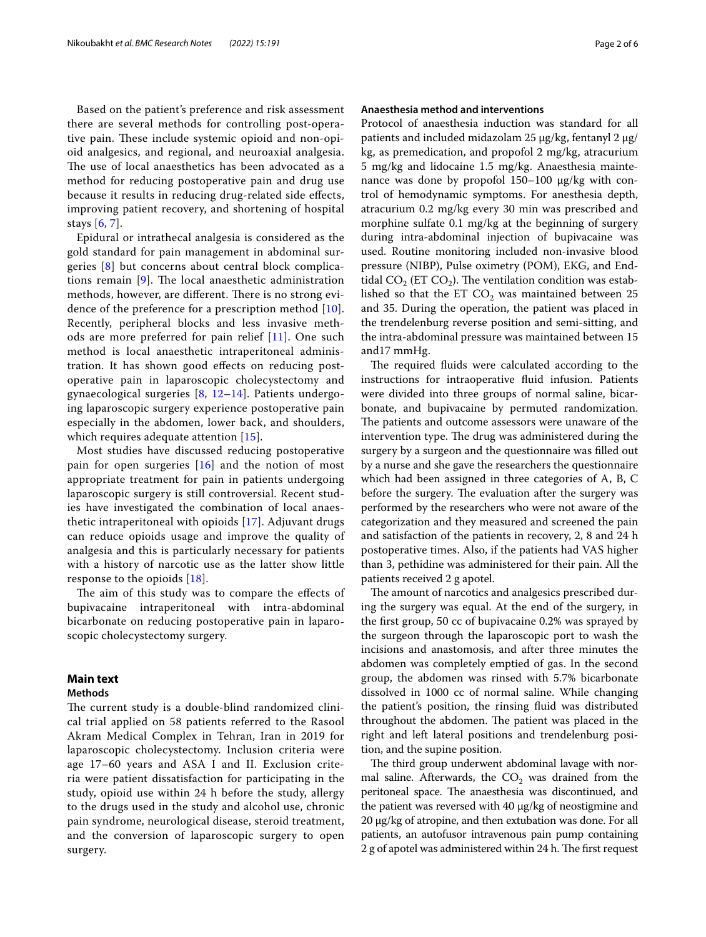Based on the patient's preference and risk assessment there are several methods for controlling post-operative pain. These include systemic opioid and non-opioid analgesics, and regional, and neuroaxial analgesia. The use of local anaesthetics has been advocated as a method for reducing postoperative pain and drug use because it results in reducing drug-related side efects, improving patient recovery, and shortening of hospital stays [[6,](#page-4-4) [7\]](#page-4-5).

Epidural or intrathecal analgesia is considered as the gold standard for pain management in abdominal surgeries [[8\]](#page-4-6) but concerns about central block complications remain  $[9]$  $[9]$ . The local anaesthetic administration methods, however, are different. There is no strong evidence of the preference for a prescription method [[10](#page-4-8)]. Recently, peripheral blocks and less invasive methods are more preferred for pain relief [\[11\]](#page-4-9). One such method is local anaesthetic intraperitoneal administration. It has shown good efects on reducing postoperative pain in laparoscopic cholecystectomy and gynaecological surgeries [[8,](#page-4-6) [12–](#page-4-10)[14\]](#page-4-11). Patients undergoing laparoscopic surgery experience postoperative pain especially in the abdomen, lower back, and shoulders, which requires adequate attention [[15](#page-4-12)].

Most studies have discussed reducing postoperative pain for open surgeries [[16](#page-4-13)] and the notion of most appropriate treatment for pain in patients undergoing laparoscopic surgery is still controversial. Recent studies have investigated the combination of local anaesthetic intraperitoneal with opioids [\[17](#page-4-14)]. Adjuvant drugs can reduce opioids usage and improve the quality of analgesia and this is particularly necessary for patients with a history of narcotic use as the latter show little response to the opioids [\[18](#page-4-15)].

The aim of this study was to compare the effects of bupivacaine intraperitoneal with intra-abdominal bicarbonate on reducing postoperative pain in laparoscopic cholecystectomy surgery.

# **Main text**

# **Methods**

The current study is a double-blind randomized clinical trial applied on 58 patients referred to the Rasool Akram Medical Complex in Tehran, Iran in 2019 for laparoscopic cholecystectomy. Inclusion criteria were age 17–60 years and ASA I and II. Exclusion criteria were patient dissatisfaction for participating in the study, opioid use within 24 h before the study, allergy to the drugs used in the study and alcohol use, chronic pain syndrome, neurological disease, steroid treatment, and the conversion of laparoscopic surgery to open surgery.

# **Anaesthesia method and interventions**

Protocol of anaesthesia induction was standard for all patients and included midazolam 25  $\mu$ g/kg, fentanyl 2  $\mu$ g/ kg, as premedication, and propofol 2 mg/kg, atracurium 5 mg/kg and lidocaine 1.5 mg/kg. Anaesthesia maintenance was done by propofol  $150-100 \mu g/kg$  with control of hemodynamic symptoms. For anesthesia depth, atracurium 0.2 mg/kg every 30 min was prescribed and morphine sulfate 0.1 mg/kg at the beginning of surgery during intra-abdominal injection of bupivacaine was used. Routine monitoring included non-invasive blood pressure (NIBP), Pulse oximetry (POM), EKG, and Endtidal  $CO<sub>2</sub>$  (ET  $CO<sub>2</sub>$ ). The ventilation condition was established so that the ET  $CO<sub>2</sub>$  was maintained between 25 and 35. During the operation, the patient was placed in the trendelenburg reverse position and semi-sitting, and the intra-abdominal pressure was maintained between 15 and17 mmHg.

The required fluids were calculated according to the instructions for intraoperative fuid infusion. Patients were divided into three groups of normal saline, bicarbonate, and bupivacaine by permuted randomization. The patients and outcome assessors were unaware of the intervention type. The drug was administered during the surgery by a surgeon and the questionnaire was flled out by a nurse and she gave the researchers the questionnaire which had been assigned in three categories of A, B, C before the surgery. The evaluation after the surgery was performed by the researchers who were not aware of the categorization and they measured and screened the pain and satisfaction of the patients in recovery, 2, 8 and 24 h postoperative times. Also, if the patients had VAS higher than 3, pethidine was administered for their pain. All the patients received 2 g apotel.

The amount of narcotics and analgesics prescribed during the surgery was equal. At the end of the surgery, in the frst group, 50 cc of bupivacaine 0.2% was sprayed by the surgeon through the laparoscopic port to wash the incisions and anastomosis, and after three minutes the abdomen was completely emptied of gas. In the second group, the abdomen was rinsed with 5.7% bicarbonate dissolved in 1000 cc of normal saline. While changing the patient's position, the rinsing fuid was distributed throughout the abdomen. The patient was placed in the right and left lateral positions and trendelenburg position, and the supine position.

The third group underwent abdominal lavage with normal saline. Afterwards, the  $CO<sub>2</sub>$  was drained from the peritoneal space. The anaesthesia was discontinued, and the patient was reversed with 40 µg/kg of neostigmine and 20 µg/kg of atropine, and then extubation was done. For all patients, an autofusor intravenous pain pump containing 2 g of apotel was administered within 24 h. The first request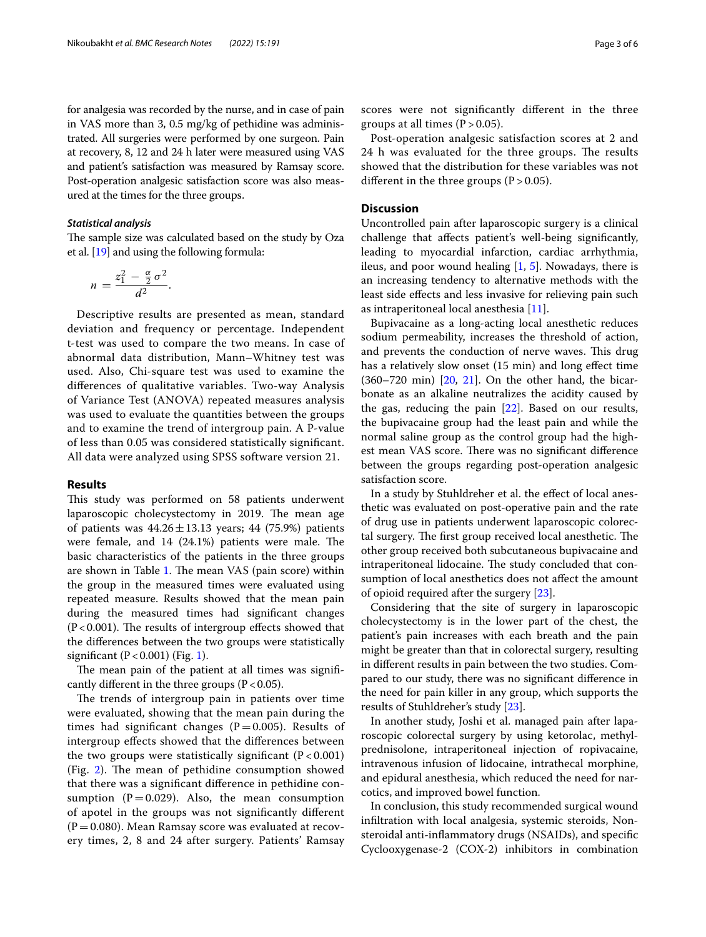for analgesia was recorded by the nurse, and in case of pain in VAS more than 3, 0.5 mg/kg of pethidine was administrated. All surgeries were performed by one surgeon. Pain at recovery, 8, 12 and 24 h later were measured using VAS and patient's satisfaction was measured by Ramsay score. Post-operation analgesic satisfaction score was also measured at the times for the three groups.

### *Statistical analysis*

The sample size was calculated based on the study by Oza et al. [\[19\]](#page-4-16) and using the following formula:

$$
n=\frac{z_1^2-\frac{\alpha}{2}\sigma^2}{d^2}.
$$

Descriptive results are presented as mean, standard deviation and frequency or percentage. Independent t-test was used to compare the two means. In case of abnormal data distribution, Mann–Whitney test was used. Also, Chi-square test was used to examine the diferences of qualitative variables. Two-way Analysis of Variance Test (ANOVA) repeated measures analysis was used to evaluate the quantities between the groups and to examine the trend of intergroup pain. A P-value of less than 0.05 was considered statistically signifcant. All data were analyzed using SPSS software version 21.

## **Results**

This study was performed on 58 patients underwent laparoscopic cholecystectomy in 2019. The mean age of patients was  $44.26 \pm 13.13$  years; 44 (75.9%) patients were female, and  $14$   $(24.1%)$  patients were male. The basic characteristics of the patients in the three groups are shown in Table [1.](#page-3-0) The mean VAS (pain score) within the group in the measured times were evaluated using repeated measure. Results showed that the mean pain during the measured times had signifcant changes  $(P<0.001)$ . The results of intergroup effects showed that the diferences between the two groups were statistically significant  $(P < 0.001)$  $(P < 0.001)$  (Fig. 1).

The mean pain of the patient at all times was significantly different in the three groups  $(P < 0.05)$ .

The trends of intergroup pain in patients over time were evaluated, showing that the mean pain during the times had significant changes ( $P=0.005$ ). Results of intergroup efects showed that the diferences between the two groups were statistically significant  $(P < 0.001)$  $(Fig. 2)$  $(Fig. 2)$ . The mean of pethidine consumption showed that there was a signifcant diference in pethidine consumption ( $P = 0.029$ ). Also, the mean consumption of apotel in the groups was not signifcantly diferent  $(P=0.080)$ . Mean Ramsay score was evaluated at recovery times, 2, 8 and 24 after surgery. Patients' Ramsay scores were not signifcantly diferent in the three groups at all times  $(P > 0.05)$ .

Post-operation analgesic satisfaction scores at 2 and 24 h was evaluated for the three groups. The results showed that the distribution for these variables was not different in the three groups  $(P > 0.05)$ .

# **Discussion**

Uncontrolled pain after laparoscopic surgery is a clinical challenge that afects patient's well-being signifcantly, leading to myocardial infarction, cardiac arrhythmia, ileus, and poor wound healing [[1,](#page-4-0) [5\]](#page-4-3). Nowadays, there is an increasing tendency to alternative methods with the least side efects and less invasive for relieving pain such as intraperitoneal local anesthesia [\[11](#page-4-9)].

Bupivacaine as a long-acting local anesthetic reduces sodium permeability, increases the threshold of action, and prevents the conduction of nerve waves. This drug has a relatively slow onset (15 min) and long efect time  $(360-720 \text{ min})$   $[20, 21]$  $[20, 21]$  $[20, 21]$  $[20, 21]$ . On the other hand, the bicarbonate as an alkaline neutralizes the acidity caused by the gas, reducing the pain [\[22](#page-4-19)]. Based on our results, the bupivacaine group had the least pain and while the normal saline group as the control group had the highest mean VAS score. There was no significant difference between the groups regarding post-operation analgesic satisfaction score.

In a study by Stuhldreher et al. the efect of local anesthetic was evaluated on post-operative pain and the rate of drug use in patients underwent laparoscopic colorectal surgery. The first group received local anesthetic. The other group received both subcutaneous bupivacaine and intraperitoneal lidocaine. The study concluded that consumption of local anesthetics does not afect the amount of opioid required after the surgery [\[23](#page-4-20)].

Considering that the site of surgery in laparoscopic cholecystectomy is in the lower part of the chest, the patient's pain increases with each breath and the pain might be greater than that in colorectal surgery, resulting in diferent results in pain between the two studies. Compared to our study, there was no signifcant diference in the need for pain killer in any group, which supports the results of Stuhldreher's study [\[23](#page-4-20)].

In another study, Joshi et al. managed pain after laparoscopic colorectal surgery by using ketorolac, methylprednisolone, intraperitoneal injection of ropivacaine, intravenous infusion of lidocaine, intrathecal morphine, and epidural anesthesia, which reduced the need for narcotics, and improved bowel function.

In conclusion, this study recommended surgical wound infltration with local analgesia, systemic steroids, Nonsteroidal anti-infammatory drugs (NSAIDs), and specifc Cyclooxygenase-2 (COX-2) inhibitors in combination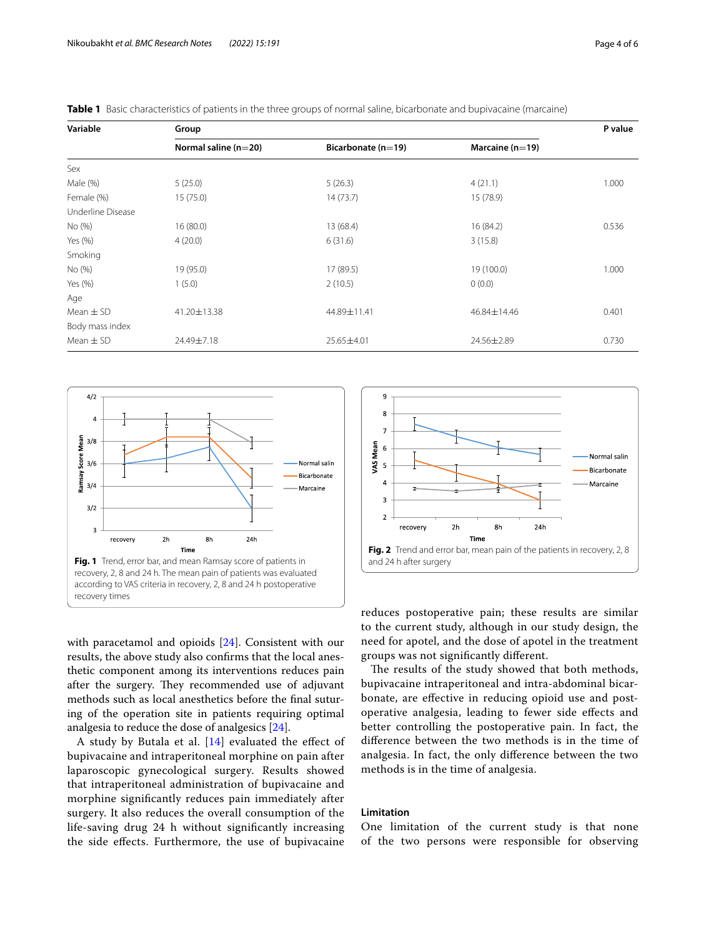| Variable          | Group                  |                        |                     |       |
|-------------------|------------------------|------------------------|---------------------|-------|
|                   | Normal saline $(n=20)$ | Bicarbonate ( $n=19$ ) | Marcaine ( $n=19$ ) |       |
| Sex               |                        |                        |                     |       |
| Male (%)          | 5(25.0)                | 5(26.3)                | 4(21.1)             | 1.000 |
| Female (%)        | 15(75.0)               | 14(73.7)               | 15 (78.9)           |       |
| Underline Disease |                        |                        |                     |       |
| No (%)            | 16 (80.0)              | 13 (68.4)              | 16 (84.2)           | 0.536 |
| Yes (%)           | 4(20.0)                | 6(31.6)                | 3(15.8)             |       |
| Smoking           |                        |                        |                     |       |
| No (%)            | 19 (95.0)              | 17 (89.5)              | 19 (100.0)          | 1.000 |
| Yes (%)           | 1(5.0)                 | 2(10.5)                | 0(0.0)              |       |
| Age               |                        |                        |                     |       |
| Mean $\pm$ SD     | 41.20±13.38            | 44.89±11.41            | 46.84±14.46         | 0.401 |
| Body mass index   |                        |                        |                     |       |
| Mean $\pm$ SD     | 24.49±7.18             | 25.65±4.01             | 24.56±2.89          | 0.730 |

<span id="page-3-0"></span>

|  | <b>Table 1</b> Basic characteristics of patients in the three groups of normal saline, bicarbonate and bupivacaine (marcaine) |  |  |  |  |  |
|--|-------------------------------------------------------------------------------------------------------------------------------|--|--|--|--|--|
|--|-------------------------------------------------------------------------------------------------------------------------------|--|--|--|--|--|



<span id="page-3-1"></span>with paracetamol and opioids [\[24](#page-5-0)]. Consistent with our results, the above study also confrms that the local anesthetic component among its interventions reduces pain after the surgery. They recommended use of adjuvant methods such as local anesthetics before the fnal suturing of the operation site in patients requiring optimal analgesia to reduce the dose of analgesics [[24\]](#page-5-0).

A study by Butala et al.  $[14]$  $[14]$  evaluated the effect of bupivacaine and intraperitoneal morphine on pain after laparoscopic gynecological surgery. Results showed that intraperitoneal administration of bupivacaine and morphine signifcantly reduces pain immediately after surgery. It also reduces the overall consumption of the life-saving drug 24 h without signifcantly increasing the side efects. Furthermore, the use of bupivacaine



<span id="page-3-2"></span>reduces postoperative pain; these results are similar to the current study, although in our study design, the need for apotel, and the dose of apotel in the treatment groups was not signifcantly diferent.

The results of the study showed that both methods, bupivacaine intraperitoneal and intra-abdominal bicarbonate, are efective in reducing opioid use and postoperative analgesia, leading to fewer side efects and better controlling the postoperative pain. In fact, the diference between the two methods is in the time of analgesia. In fact, the only diference between the two methods is in the time of analgesia.

# **Limitation**

One limitation of the current study is that none of the two persons were responsible for observing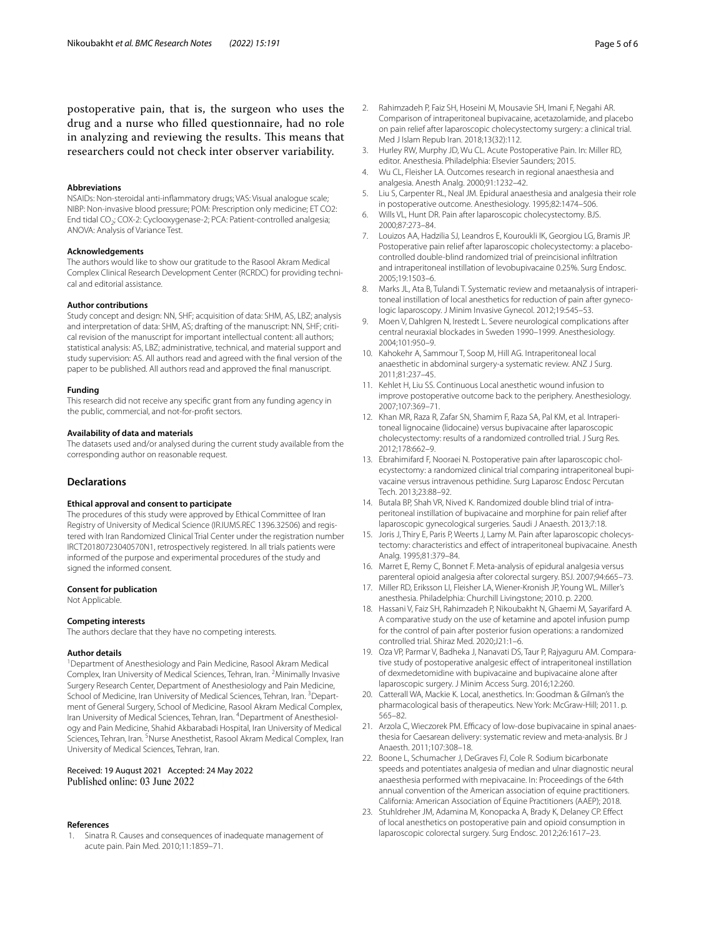postoperative pain, that is, the surgeon who uses the drug and a nurse who flled questionnaire, had no role in analyzing and reviewing the results. This means that researchers could not check inter observer variability.

#### **Abbreviations**

NSAIDs: Non-steroidal anti-infammatory drugs; VAS: Visual analogue scale; NIBP: Non-invasive blood pressure; POM: Prescription only medicine; ET CO2: End tidal CO<sub>2</sub>; COX-2: Cyclooxygenase-2; PCA: Patient-controlled analgesia; ANOVA: Analysis of Variance Test.

#### **Acknowledgements**

The authors would like to show our gratitude to the Rasool Akram Medical Complex Clinical Research Development Center (RCRDC) for providing technical and editorial assistance.

#### **Author contributions**

Study concept and design: NN, SHF; acquisition of data: SHM, AS, LBZ; analysis and interpretation of data: SHM, AS; drafting of the manuscript: NN, SHF; critical revision of the manuscript for important intellectual content: all authors; statistical analysis: AS, LBZ; administrative, technical, and material support and study supervision: AS. All authors read and agreed with the fnal version of the paper to be published. All authors read and approved the fnal manuscript.

#### **Funding**

This research did not receive any specifc grant from any funding agency in the public, commercial, and not-for-proft sectors.

#### **Availability of data and materials**

The datasets used and/or analysed during the current study available from the corresponding author on reasonable request.

#### **Declarations**

#### **Ethical approval and consent to participate**

The procedures of this study were approved by Ethical Committee of Iran Registry of University of Medical Science (IR.IUMS.REC 1396.32506) and registered with Iran Randomized Clinical Trial Center under the registration number IRCT20180723040570N1, retrospectively registered. In all trials patients were informed of the purpose and experimental procedures of the study and signed the informed consent.

#### **Consent for publication**

Not Applicable.

#### **Competing interests**

The authors declare that they have no competing interests.

#### **Author details**

<sup>1</sup> Department of Anesthesiology and Pain Medicine, Rasool Akram Medical Complex, Iran University of Medical Sciences, Tehran, Iran. <sup>2</sup> Minimally Invasive Surgery Research Center, Department of Anesthesiology and Pain Medicine, School of Medicine, Iran University of Medical Sciences, Tehran, Iran. <sup>3</sup>Department of General Surgery, School of Medicine, Rasool Akram Medical Complex, Iran University of Medical Sciences, Tehran, Iran. <sup>4</sup>Department of Anesthesiology and Pain Medicine, Shahid Akbarabadi Hospital, Iran University of Medical Sciences, Tehran, Iran. <sup>5</sup>Nurse Anesthetist, Rasool Akram Medical Complex, Iran University of Medical Sciences, Tehran, Iran.

# Received: 19 August 2021 Accepted: 24 May 2022<br>Published online: 03 June 2022

#### **References**

<span id="page-4-0"></span>1. Sinatra R. Causes and consequences of inadequate management of acute pain. Pain Med. 2010;11:1859–71.

- <span id="page-4-1"></span>2. Rahimzadeh P, Faiz SH, Hoseini M, Mousavie SH, Imani F, Negahi AR. Comparison of intraperitoneal bupivacaine, acetazolamide, and placebo on pain relief after laparoscopic cholecystectomy surgery: a clinical trial. Med J Islam Repub Iran. 2018;13(32):112.
- <span id="page-4-2"></span>3. Hurley RW, Murphy JD, Wu CL. Acute Postoperative Pain. In: Miller RD, editor. Anesthesia. Philadelphia: Elsevier Saunders; 2015.
- 4. Wu CL, Fleisher LA. Outcomes research in regional anaesthesia and analgesia. Anesth Analg. 2000;91:1232–42.
- <span id="page-4-3"></span>5. Liu S, Carpenter RL, Neal JM. Epidural anaesthesia and analgesia their role in postoperative outcome. Anesthesiology. 1995;82:1474–506.
- <span id="page-4-4"></span>6. Wills VL, Hunt DR. Pain after laparoscopic cholecystectomy. BJS. 2000;87:273–84.
- <span id="page-4-5"></span>7. Louizos AA, Hadzilia SJ, Leandros E, Kouroukli IK, Georgiou LG, Bramis JP. Postoperative pain relief after laparoscopic cholecystectomy: a placebocontrolled double-blind randomized trial of preincisional infltration and intraperitoneal instillation of levobupivacaine 0.25%. Surg Endosc. 2005;19:1503–6.
- <span id="page-4-6"></span>8. Marks JL, Ata B, Tulandi T. Systematic review and metaanalysis of intraperitoneal instillation of local anesthetics for reduction of pain after gynecologic laparoscopy. J Minim Invasive Gynecol. 2012;19:545–53.
- <span id="page-4-7"></span>9. Moen V, Dahlgren N, Irestedt L. Severe neurological complications after central neuraxial blockades in Sweden 1990–1999. Anesthesiology. 2004;101:950–9.
- <span id="page-4-8"></span>10. Kahokehr A, Sammour T, Soop M, Hill AG. Intraperitoneal local anaesthetic in abdominal surgery-a systematic review. ANZ J Surg. 2011;81:237–45.
- <span id="page-4-9"></span>11. Kehlet H, Liu SS. Continuous Local anesthetic wound infusion to improve postoperative outcome back to the periphery. Anesthesiology. 2007;107:369–71.
- <span id="page-4-10"></span>12. Khan MR, Raza R, Zafar SN, Shamim F, Raza SA, Pal KM, et al. Intraperitoneal lignocaine (lidocaine) versus bupivacaine after laparoscopic cholecystectomy: results of a randomized controlled trial. J Surg Res. 2012;178:662–9.
- 13. Ebrahimifard F, Nooraei N. Postoperative pain after laparoscopic cholecystectomy: a randomized clinical trial comparing intraperitoneal bupivacaine versus intravenous pethidine. Surg Laparosc Endosc Percutan Tech. 2013;23:88–92.
- <span id="page-4-11"></span>14. Butala BP, Shah VR, Nived K. Randomized double blind trial of intraperitoneal instillation of bupivacaine and morphine for pain relief after laparoscopic gynecological surgeries. Saudi J Anaesth. 2013;7:18.
- <span id="page-4-12"></span>15. Joris J, Thiry E, Paris P, Weerts J, Lamy M. Pain after laparoscopic cholecystectomy: characteristics and efect of intraperitoneal bupivacaine. Anesth Analg. 1995;81:379–84.
- <span id="page-4-13"></span>16. Marret E, Remy C, Bonnet F. Meta-analysis of epidural analgesia versus parenteral opioid analgesia after colorectal surgery. BSJ. 2007;94:665–73.
- <span id="page-4-14"></span>17. Miller RD, Eriksson LI, Fleisher LA, Wiener-Kronish JP, Young WL. Miller's anesthesia. Philadelphia: Churchill Livingstone; 2010. p. 2200.
- <span id="page-4-15"></span>18. Hassani V, Faiz SH, Rahimzadeh P, Nikoubakht N, Ghaemi M, Sayarifard A. A comparative study on the use of ketamine and apotel infusion pump for the control of pain after posterior fusion operations: a randomized controlled trial. Shiraz Med. 2020;J21:1–6.
- <span id="page-4-16"></span>19. Oza VP, Parmar V, Badheka J, Nanavati DS, Taur P, Rajyaguru AM. Comparative study of postoperative analgesic efect of intraperitoneal instillation of dexmedetomidine with bupivacaine and bupivacaine alone after laparoscopic surgery. J Minim Access Surg. 2016;12:260.
- <span id="page-4-17"></span>20. Catterall WA, Mackie K. Local, anesthetics. In: Goodman & Gilman's the pharmacological basis of therapeutics. New York: McGraw-Hill; 2011. p. 565–82.
- <span id="page-4-18"></span>21. Arzola C, Wieczorek PM. Efficacy of low-dose bupivacaine in spinal anaesthesia for Caesarean delivery: systematic review and meta-analysis. Br J Anaesth. 2011;107:308–18.
- <span id="page-4-19"></span>22. Boone L, Schumacher J, DeGraves FJ, Cole R. Sodium bicarbonate speeds and potentiates analgesia of median and ulnar diagnostic neural anaesthesia performed with mepivacaine. In: Proceedings of the 64th annual convention of the American association of equine practitioners. California: American Association of Equine Practitioners (AAEP); 2018.
- <span id="page-4-20"></span>23. Stuhldreher JM, Adamina M, Konopacka A, Brady K, Delaney CP. Efect of local anesthetics on postoperative pain and opioid consumption in laparoscopic colorectal surgery. Surg Endosc. 2012;26:1617–23.